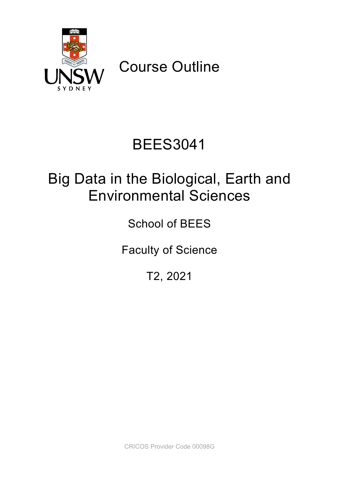

Course Outline

# BEES3041

## Big Data in the Biological, Earth and Environmental Sciences

School of BEES

Faculty of Science

T2, 2021

CRICOS Provider Code 00098G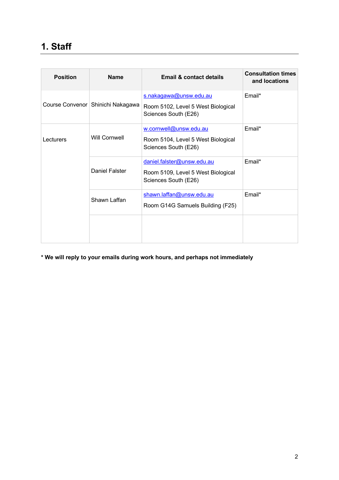### **1. Staff**

| <b>Position</b> | <b>Name</b>                         | Email & contact details                                                                  | <b>Consultation times</b><br>and locations |
|-----------------|-------------------------------------|------------------------------------------------------------------------------------------|--------------------------------------------|
|                 | Course Convenor   Shinichi Nakagawa | s.nakagawa@unsw.edu.au<br>Room 5102, Level 5 West Biological<br>Sciences South (E26)     | Email*                                     |
| Lecturers       | Will Cornwell                       | w.cornwell@unsw.edu.au<br>Room 5104, Level 5 West Biological<br>Sciences South (E26)     | Email*                                     |
|                 | Daniel Falster                      | daniel.falster@unsw.edu.au<br>Room 5109, Level 5 West Biological<br>Sciences South (E26) | Email*                                     |
|                 | Shawn Laffan                        | shawn.laffan@unsw.edu.au<br>Room G14G Samuels Building (F25)                             | Email*                                     |
|                 |                                     |                                                                                          |                                            |

**\* We will reply to your emails during work hours, and perhaps not immediately**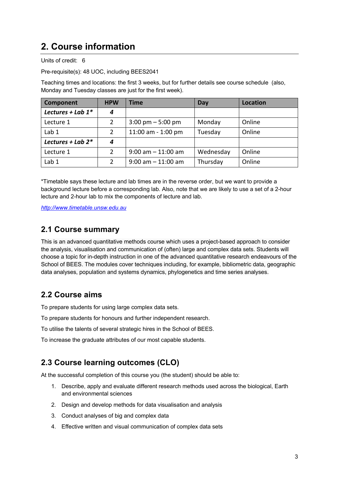### **2. Course information**

Units of credit: 6

Pre-requisite(s): 48 UOC, including BEES2041

Teaching times and locations: the first 3 weeks, but for further details see course schedule (also, Monday and Tuesday classes are just for the first week).

| Component            | <b>HPW</b>     | Time                                | Day       | Location |
|----------------------|----------------|-------------------------------------|-----------|----------|
| Lectures + Lab $1^*$ | 4              |                                     |           |          |
| Lecture 1            | 2              | $3:00 \text{ pm} - 5:00 \text{ pm}$ | Monday    | Online   |
| Lab <sub>1</sub>     | 2              | 11:00 am - 1:00 pm                  | Tuesday   | Online   |
| Lectures + Lab $2^*$ | 4              |                                     |           |          |
| Lecture 1            | $\overline{2}$ | $9:00$ am $-11:00$ am               | Wednesday | Online   |
| Lab <sub>1</sub>     | $\overline{2}$ | $9:00$ am $-11:00$ am               | Thursday  | Online   |

\*Timetable says these lecture and lab times are in the reverse order, but we want to provide a background lecture before a corresponding lab. Also, note that we are likely to use a set of a 2-hour lecture and 2-hour lab to mix the components of lecture and lab.

*http://www.timetable.unsw.edu.au*

#### **2.1 Course summary**

This is an advanced quantitative methods course which uses a project-based approach to consider the analysis, visualisation and communication of (often) large and complex data sets. Students will choose a topic for in-depth instruction in one of the advanced quantitative research endeavours of the School of BEES. The modules cover techniques including, for example, bibliometric data, geographic data analyses, population and systems dynamics, phylogenetics and time series analyses.

#### **2.2 Course aims**

To prepare students for using large complex data sets.

To prepare students for honours and further independent research.

To utilise the talents of several strategic hires in the School of BEES.

To increase the graduate attributes of our most capable students.

#### **2.3 Course learning outcomes (CLO)**

At the successful completion of this course you (the student) should be able to:

- 1. Describe, apply and evaluate different research methods used across the biological, Earth and environmental sciences
- 2. Design and develop methods for data visualisation and analysis
- 3. Conduct analyses of big and complex data
- 4. Effective written and visual communication of complex data sets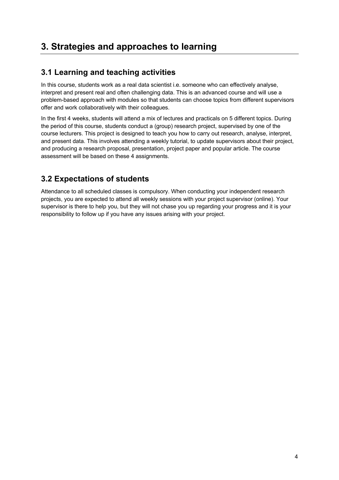### **3. Strategies and approaches to learning**

#### **3.1 Learning and teaching activities**

In this course, students work as a real data scientist i.e. someone who can effectively analyse, interpret and present real and often challenging data. This is an advanced course and will use a problem-based approach with modules so that students can choose topics from different supervisors offer and work collaboratively with their colleagues.

In the first 4 weeks, students will attend a mix of lectures and practicals on 5 different topics. During the period of this course, students conduct a (group) research project, supervised by one of the course lecturers. This project is designed to teach you how to carry out research, analyse, interpret, and present data. This involves attending a weekly tutorial, to update supervisors about their project, and producing a research proposal, presentation, project paper and popular article. The course assessment will be based on these 4 assignments.

#### **3.2 Expectations of students**

Attendance to all scheduled classes is compulsory. When conducting your independent research projects, you are expected to attend all weekly sessions with your project supervisor (online). Your supervisor is there to help you, but they will not chase you up regarding your progress and it is your responsibility to follow up if you have any issues arising with your project.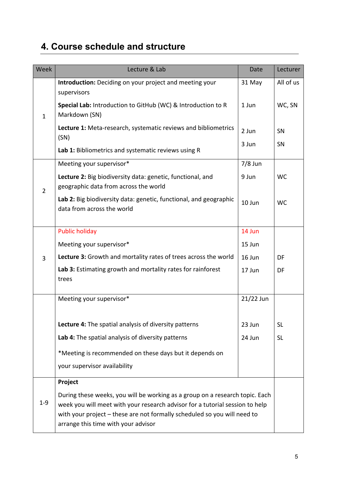## **4. Course schedule and structure**

| Week           | Lecture & Lab                                                                                                                                                                                                                                                                   | Date      | Lecturer  |
|----------------|---------------------------------------------------------------------------------------------------------------------------------------------------------------------------------------------------------------------------------------------------------------------------------|-----------|-----------|
|                | Introduction: Deciding on your project and meeting your                                                                                                                                                                                                                         | 31 May    | All of us |
| $\mathbf{1}$   | supervisors<br>Special Lab: Introduction to GitHub (WC) & Introduction to R<br>Markdown (SN)                                                                                                                                                                                    | 1 Jun     | WC, SN    |
|                | Lecture 1: Meta-research, systematic reviews and bibliometrics<br>(SN)                                                                                                                                                                                                          | 2 Jun     | SN        |
|                | Lab 1: Bibliometrics and systematic reviews using R                                                                                                                                                                                                                             | 3 Jun     | SN        |
|                | Meeting your supervisor*                                                                                                                                                                                                                                                        | $7/8$ Jun |           |
| $\overline{2}$ | Lecture 2: Big biodiversity data: genetic, functional, and<br>geographic data from across the world                                                                                                                                                                             | 9 Jun     | <b>WC</b> |
|                | Lab 2: Big biodiversity data: genetic, functional, and geographic<br>data from across the world                                                                                                                                                                                 | 10 Jun    | <b>WC</b> |
|                | <b>Public holiday</b>                                                                                                                                                                                                                                                           | 14 Jun    |           |
|                | Meeting your supervisor*                                                                                                                                                                                                                                                        | 15 Jun    |           |
| 3              | Lecture 3: Growth and mortality rates of trees across the world                                                                                                                                                                                                                 | 16 Jun    | DF        |
|                | Lab 3: Estimating growth and mortality rates for rainforest<br>trees                                                                                                                                                                                                            | 17 Jun    | DF        |
|                | Meeting your supervisor*                                                                                                                                                                                                                                                        | 21/22 Jun |           |
|                | Lecture 4: The spatial analysis of diversity patterns                                                                                                                                                                                                                           | 23 Jun    | <b>SL</b> |
|                | Lab 4: The spatial analysis of diversity patterns                                                                                                                                                                                                                               | 24 Jun    | <b>SL</b> |
|                | *Meeting is recommended on these days but it depends on                                                                                                                                                                                                                         |           |           |
|                | your supervisor availability                                                                                                                                                                                                                                                    |           |           |
|                | Project                                                                                                                                                                                                                                                                         |           |           |
| $1 - 9$        | During these weeks, you will be working as a group on a research topic. Each<br>week you will meet with your research advisor for a tutorial session to help<br>with your project – these are not formally scheduled so you will need to<br>arrange this time with your advisor |           |           |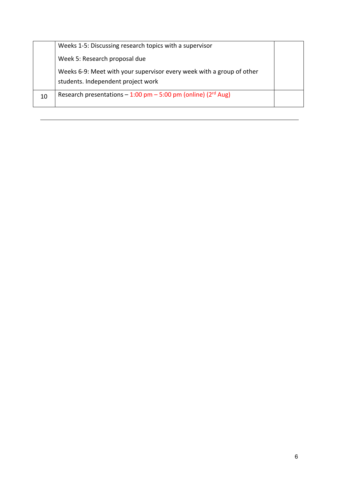|    | Weeks 1-5: Discussing research topics with a supervisor                                                     |  |
|----|-------------------------------------------------------------------------------------------------------------|--|
|    | Week 5: Research proposal due                                                                               |  |
|    | Weeks 6-9: Meet with your supervisor every week with a group of other<br>students. Independent project work |  |
| 10 | Research presentations $-1:00$ pm $-5:00$ pm (online) ( $2rd$ Aug)                                          |  |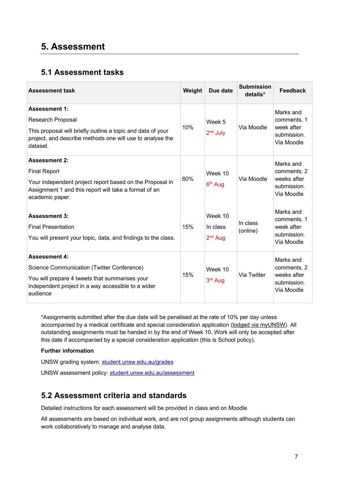### **5. Assessment**

#### **5.1 Assessment tasks**

| <b>Assessment task</b>                                                                                                                                                                   | Weight | Due date                         | <b>Submission</b><br>details* | <b>Feedback</b>                                                      |
|------------------------------------------------------------------------------------------------------------------------------------------------------------------------------------------|--------|----------------------------------|-------------------------------|----------------------------------------------------------------------|
| <b>Assessment 1:</b><br><b>Research Proposal</b><br>This proposal will briefly outline a topic and data of your<br>project, and describe methods one will use to analyse the<br>dataset. | 10%    | Week 5<br>$2nd$ July             | Via Moodle                    | Marks and<br>comments, 1<br>week after<br>submission.<br>Via Moodle  |
| <b>Assessment 2:</b><br><b>Final Report</b><br>Your independent project report based on the Proposal in<br>Assignment 1 and this report will take a format of an<br>academic paper.      | 60%    | Week 10<br>6 <sup>th</sup> Aug   | Via Moodle                    | Marks and<br>comments, 2<br>weeks after<br>submission.<br>Via Moodle |
| <b>Assessment 3:</b><br><b>Final Presentation</b><br>You will present your topic, data, and findings to the class.                                                                       | 15%    | Week 10<br>In class<br>$2nd$ Aug | In class<br>(online)          | Marks and<br>comments, 1<br>week after<br>submission.<br>Via Moodle  |
| <b>Assessment 4:</b><br>Science Communication (Twitter Conference)<br>You will prepare 4 tweets that summarises your<br>independent project in a way accessible to a wider<br>audience   | 15%    | Week 10<br>3rd Aug               | Via Twitter                   | Marks and<br>comments, 2<br>weeks after<br>submission.<br>Via Moodle |

\*Assignments submitted after the due date will be penalised at the rate of 10% per day unless accompanied by a medical certificate and special consideration application (lodged via myUNSW). All outstanding assignments must be handed in by the end of Week 10. Work will only be accepted after this date if accompanied by a special consideration application (this is School policy).

#### **Further information**

UNSW grading system: student.unsw.edu.au/grades

UNSW assessment policy: student.unsw.edu.au/assessment

#### **5.2 Assessment criteria and standards**

Detailed instructions for each assessment will be provided in class and on Moodle

All assessments are based on individual work, and are not group assignments although students can work collaboratively to manage and analyse data.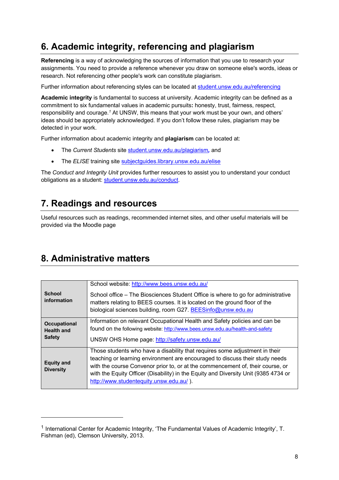### **6. Academic integrity, referencing and plagiarism**

**Referencing** is a way of acknowledging the sources of information that you use to research your assignments. You need to provide a reference whenever you draw on someone else's words, ideas or research. Not referencing other people's work can constitute plagiarism.

Further information about referencing styles can be located at student.unsw.edu.au/referencing

**Academic integrity** is fundamental to success at university. Academic integrity can be defined as a commitment to six fundamental values in academic pursuits**:** honesty, trust, fairness, respect, responsibility and courage.*<sup>1</sup>* At UNSW, this means that your work must be your own, and others' ideas should be appropriately acknowledged. If you don't follow these rules, plagiarism may be detected in your work.

Further information about academic integrity and **plagiarism** can be located at:

- The *Current Students* site student.unsw.edu.au/plagiarism*,* and
- The *ELISE* training site subjectguides.library.unsw.edu.au/elise

The *Conduct and Integrity Unit* provides further resources to assist you to understand your conduct obligations as a student: student.unsw.edu.au/conduct.

### **7. Readings and resources**

Useful resources such as readings, recommended internet sites, and other useful materials will be provided via the Moodle page

### **8. Administrative matters**

| <b>School</b><br>information                              | School website: http://www.bees.unsw.edu.au/<br>School office – The Biosciences Student Office is where to go for administrative<br>matters relating to BEES courses. It is located on the ground floor of the<br>biological sciences building, room G27. BEESinfo@unsw.edu.au                                                                                                  |
|-----------------------------------------------------------|---------------------------------------------------------------------------------------------------------------------------------------------------------------------------------------------------------------------------------------------------------------------------------------------------------------------------------------------------------------------------------|
| <b>Occupational</b><br><b>Health and</b><br><b>Safety</b> | Information on relevant Occupational Health and Safety policies and can be<br>found on the following website: http://www.bees.unsw.edu.au/health-and-safety<br>UNSW OHS Home page: http://safety.unsw.edu.au/                                                                                                                                                                   |
| <b>Equity and</b><br><b>Diversity</b>                     | Those students who have a disability that requires some adjustment in their<br>teaching or learning environment are encouraged to discuss their study needs<br>with the course Convenor prior to, or at the commencement of, their course, or<br>with the Equity Officer (Disability) in the Equity and Diversity Unit (9385 4734 or<br>http://www.studentequity.unsw.edu.au/). |

<sup>1</sup> International Center for Academic Integrity, 'The Fundamental Values of Academic Integrity', T. Fishman (ed), Clemson University, 2013.